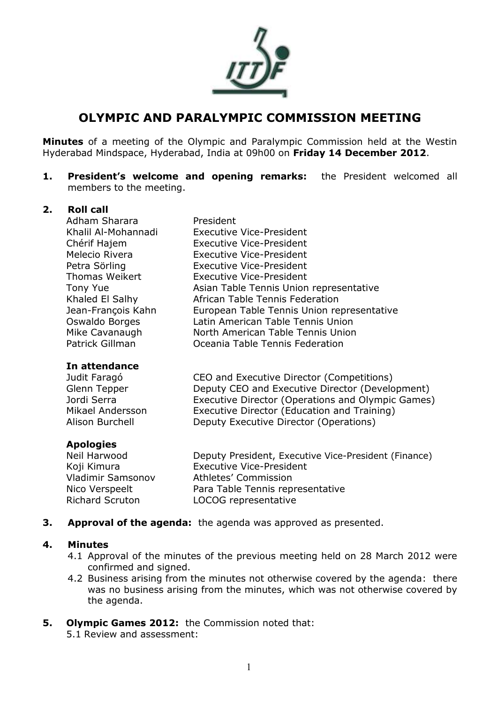

# **OLYMPIC AND PARALYMPIC COMMISSION MEETING**

**Minutes** of a meeting of the Olympic and Paralympic Commission held at the Westin Hyderabad Mindspace, Hyderabad, India at 09h00 on **Friday 14 December 2012**.

**1. President's welcome and opening remarks:** the President welcomed all members to the meeting.

#### **2. Roll call**

Adham Sharara President Khalil Al-Mohannadi Executive Vice-President Chérif Hajem Executive Vice-President Melecio Rivera Executive Vice-President Petra Sörling Executive Vice-President Thomas Weikert Executive Vice-President Tony Yue **Asian Table Tennis Union representative** Khaled El Salhy **African Table Tennis Federation** Jean-François Kahn European Table Tennis Union representative Oswaldo Borges Latin American Table Tennis Union Mike Cavanaugh North American Table Tennis Union Patrick Gillman Oceania Table Tennis Federation

#### **In attendance**

| Deputy CEO and Executive Director (Development)   |
|---------------------------------------------------|
| Executive Director (Operations and Olympic Games) |
|                                                   |
|                                                   |
|                                                   |

#### **Apologies**

| Neil Harwood           | Deputy President, Executive Vice-President (Finance) |
|------------------------|------------------------------------------------------|
| Koji Kimura            | <b>Executive Vice-President</b>                      |
| Vladimir Samsonov      | Athletes' Commission                                 |
| Nico Verspeelt         | Para Table Tennis representative                     |
| <b>Richard Scruton</b> | LOCOG representative                                 |
|                        |                                                      |

**3. Approval of the agenda:** the agenda was approved as presented.

#### **4. Minutes**

- 4.1 Approval of the minutes of the previous meeting held on 28 March 2012 were confirmed and signed.
- 4.2 Business arising from the minutes not otherwise covered by the agenda: there was no business arising from the minutes, which was not otherwise covered by the agenda.
- **5. Olympic Games 2012:** the Commission noted that: 5.1 Review and assessment: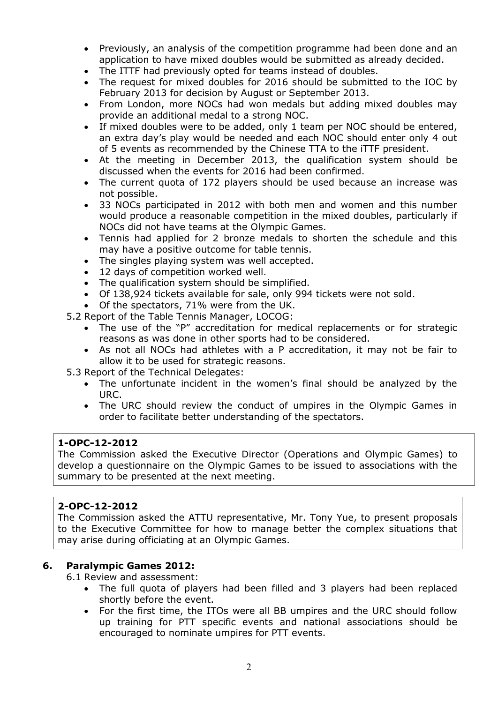- Previously, an analysis of the competition programme had been done and an application to have mixed doubles would be submitted as already decided.
- The ITTF had previously opted for teams instead of doubles.
- The request for mixed doubles for 2016 should be submitted to the IOC by February 2013 for decision by August or September 2013.
- From London, more NOCs had won medals but adding mixed doubles may provide an additional medal to a strong NOC.
- If mixed doubles were to be added, only 1 team per NOC should be entered, an extra day's play would be needed and each NOC should enter only 4 out of 5 events as recommended by the Chinese TTA to the iTTF president.
- At the meeting in December 2013, the qualification system should be discussed when the events for 2016 had been confirmed.
- The current quota of 172 players should be used because an increase was not possible.
- 33 NOCs participated in 2012 with both men and women and this number would produce a reasonable competition in the mixed doubles, particularly if NOCs did not have teams at the Olympic Games.
- Tennis had applied for 2 bronze medals to shorten the schedule and this may have a positive outcome for table tennis.
- The singles playing system was well accepted.
- 12 days of competition worked well.
- The qualification system should be simplified.
- Of 138,924 tickets available for sale, only 994 tickets were not sold.
- Of the spectators, 71% were from the UK.
- 5.2 Report of the Table Tennis Manager, LOCOG:
	- The use of the "P" accreditation for medical replacements or for strategic reasons as was done in other sports had to be considered.
	- As not all NOCs had athletes with a P accreditation, it may not be fair to allow it to be used for strategic reasons.
- 5.3 Report of the Technical Delegates:
	- The unfortunate incident in the women's final should be analyzed by the URC.
	- The URC should review the conduct of umpires in the Olympic Games in order to facilitate better understanding of the spectators.

## **1-OPC-12-2012**

The Commission asked the Executive Director (Operations and Olympic Games) to develop a questionnaire on the Olympic Games to be issued to associations with the summary to be presented at the next meeting.

# **2-OPC-12-2012**

The Commission asked the ATTU representative, Mr. Tony Yue, to present proposals to the Executive Committee for how to manage better the complex situations that may arise during officiating at an Olympic Games.

## **6. Paralympic Games 2012:**

6.1 Review and assessment:

- The full quota of players had been filled and 3 players had been replaced shortly before the event.
- For the first time, the ITOs were all BB umpires and the URC should follow up training for PTT specific events and national associations should be encouraged to nominate umpires for PTT events.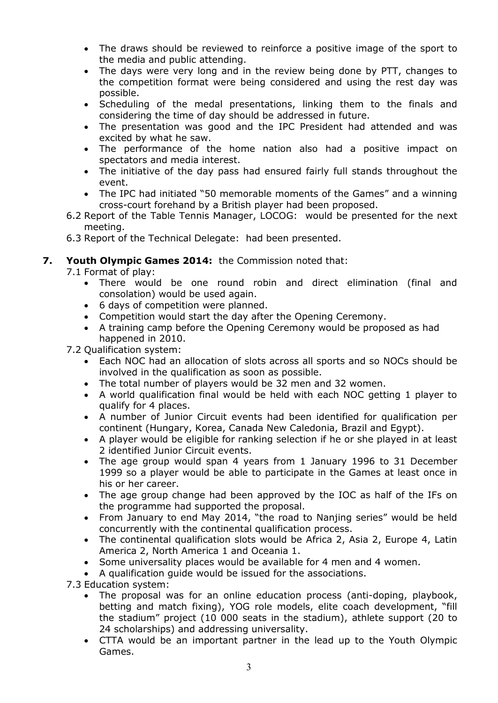- The draws should be reviewed to reinforce a positive image of the sport to the media and public attending.
- The days were very long and in the review being done by PTT, changes to the competition format were being considered and using the rest day was possible.
- Scheduling of the medal presentations, linking them to the finals and considering the time of day should be addressed in future.
- The presentation was good and the IPC President had attended and was excited by what he saw.
- The performance of the home nation also had a positive impact on spectators and media interest.
- The initiative of the day pass had ensured fairly full stands throughout the event.
- The IPC had initiated "50 memorable moments of the Games" and a winning cross-court forehand by a British player had been proposed.
- 6.2 Report of the Table Tennis Manager, LOCOG: would be presented for the next meeting.
- 6.3 Report of the Technical Delegate: had been presented.

# **7. Youth Olympic Games 2014:** the Commission noted that:

7.1 Format of play:

- There would be one round robin and direct elimination (final and consolation) would be used again.
- 6 days of competition were planned.
- Competition would start the day after the Opening Ceremony.
- A training camp before the Opening Ceremony would be proposed as had happened in 2010.

## 7.2 Qualification system:

- Each NOC had an allocation of slots across all sports and so NOCs should be involved in the qualification as soon as possible.
- The total number of players would be 32 men and 32 women.
- A world qualification final would be held with each NOC getting 1 player to qualify for 4 places.
- A number of Junior Circuit events had been identified for qualification per continent (Hungary, Korea, Canada New Caledonia, Brazil and Egypt).
- A player would be eligible for ranking selection if he or she played in at least 2 identified Junior Circuit events.
- The age group would span 4 years from 1 January 1996 to 31 December 1999 so a player would be able to participate in the Games at least once in his or her career.
- The age group change had been approved by the IOC as half of the IFs on the programme had supported the proposal.
- From January to end May 2014, "the road to Nanjing series" would be held concurrently with the continental qualification process.
- The continental qualification slots would be Africa 2, Asia 2, Europe 4, Latin America 2, North America 1 and Oceania 1.
- Some universality places would be available for 4 men and 4 women.
- A qualification guide would be issued for the associations.

7.3 Education system:

- The proposal was for an online education process (anti-doping, playbook, betting and match fixing), YOG role models, elite coach development, "fill the stadium" project (10 000 seats in the stadium), athlete support (20 to 24 scholarships) and addressing universality.
- CTTA would be an important partner in the lead up to the Youth Olympic Games.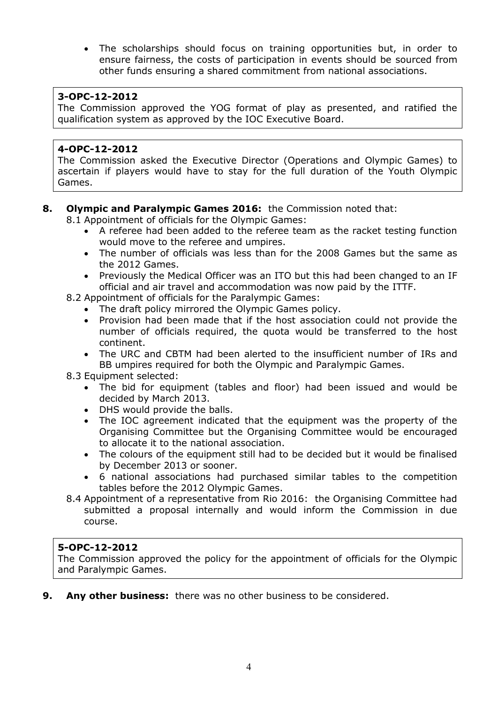The scholarships should focus on training opportunities but, in order to ensure fairness, the costs of participation in events should be sourced from other funds ensuring a shared commitment from national associations.

## **3-OPC-12-2012**

The Commission approved the YOG format of play as presented, and ratified the qualification system as approved by the IOC Executive Board.

## **4-OPC-12-2012**

The Commission asked the Executive Director (Operations and Olympic Games) to ascertain if players would have to stay for the full duration of the Youth Olympic Games.

## **8. Olympic and Paralympic Games 2016:** the Commission noted that:

8.1 Appointment of officials for the Olympic Games:

- A referee had been added to the referee team as the racket testing function would move to the referee and umpires.
- The number of officials was less than for the 2008 Games but the same as the 2012 Games.
- Previously the Medical Officer was an ITO but this had been changed to an IF official and air travel and accommodation was now paid by the ITTF.
- 8.2 Appointment of officials for the Paralympic Games:
	- The draft policy mirrored the Olympic Games policy.
	- Provision had been made that if the host association could not provide the number of officials required, the quota would be transferred to the host continent.
	- The URC and CBTM had been alerted to the insufficient number of IRs and BB umpires required for both the Olympic and Paralympic Games.
- 8.3 Equipment selected:
	- The bid for equipment (tables and floor) had been issued and would be decided by March 2013.
	- DHS would provide the balls.
	- The IOC agreement indicated that the equipment was the property of the Organising Committee but the Organising Committee would be encouraged to allocate it to the national association.
	- The colours of the equipment still had to be decided but it would be finalised by December 2013 or sooner.
	- 6 national associations had purchased similar tables to the competition tables before the 2012 Olympic Games.
- 8.4 Appointment of a representative from Rio 2016: the Organising Committee had submitted a proposal internally and would inform the Commission in due course.

## **5-OPC-12-2012**

The Commission approved the policy for the appointment of officials for the Olympic and Paralympic Games.

**9. Any other business:** there was no other business to be considered.